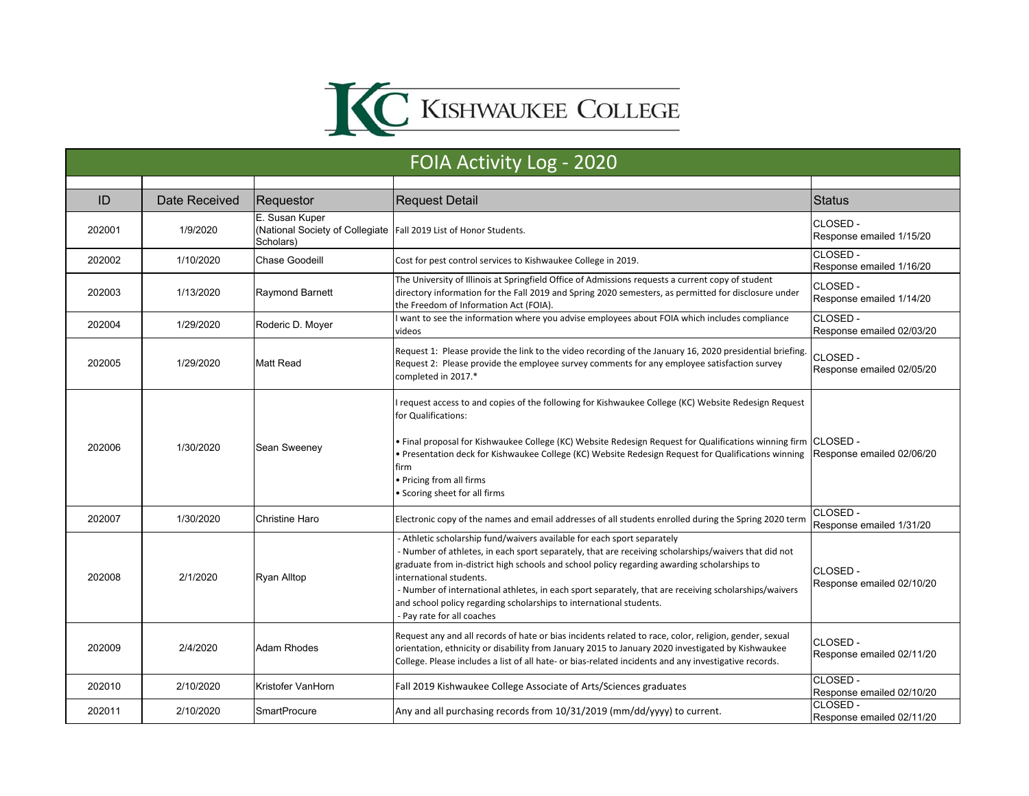

| FOIA Activity Log - 2020 |               |                                                                                                  |                                                                                                                                                                                                                                                                                                                                                                                                                                                                                                                       |                                       |  |  |
|--------------------------|---------------|--------------------------------------------------------------------------------------------------|-----------------------------------------------------------------------------------------------------------------------------------------------------------------------------------------------------------------------------------------------------------------------------------------------------------------------------------------------------------------------------------------------------------------------------------------------------------------------------------------------------------------------|---------------------------------------|--|--|
|                          |               |                                                                                                  |                                                                                                                                                                                                                                                                                                                                                                                                                                                                                                                       |                                       |  |  |
| ID                       | Date Received | Requestor                                                                                        | <b>Request Detail</b>                                                                                                                                                                                                                                                                                                                                                                                                                                                                                                 | <b>Status</b>                         |  |  |
| 202001                   | 1/9/2020      | E. Susan Kuper<br>(National Society of Collegiate Fall 2019 List of Honor Students.<br>Scholars) |                                                                                                                                                                                                                                                                                                                                                                                                                                                                                                                       | CLOSED -<br>Response emailed 1/15/20  |  |  |
| 202002                   | 1/10/2020     | <b>Chase Goodeill</b>                                                                            | Cost for pest control services to Kishwaukee College in 2019.                                                                                                                                                                                                                                                                                                                                                                                                                                                         | CLOSED -<br>Response emailed 1/16/20  |  |  |
| 202003                   | 1/13/2020     | <b>Raymond Barnett</b>                                                                           | The University of Illinois at Springfield Office of Admissions requests a current copy of student<br>directory information for the Fall 2019 and Spring 2020 semesters, as permitted for disclosure under<br>the Freedom of Information Act (FOIA).                                                                                                                                                                                                                                                                   | CLOSED -<br>Response emailed 1/14/20  |  |  |
| 202004                   | 1/29/2020     | Roderic D. Moyer                                                                                 | I want to see the information where you advise employees about FOIA which includes compliance<br>videos                                                                                                                                                                                                                                                                                                                                                                                                               | CLOSED -<br>Response emailed 02/03/20 |  |  |
| 202005                   | 1/29/2020     | <b>Matt Read</b>                                                                                 | Request 1: Please provide the link to the video recording of the January 16, 2020 presidential briefing.<br>Request 2: Please provide the employee survey comments for any employee satisfaction survey<br>completed in 2017.*                                                                                                                                                                                                                                                                                        | CLOSED -<br>Response emailed 02/05/20 |  |  |
| 202006                   | 1/30/2020     | Sean Sweeney                                                                                     | request access to and copies of the following for Kishwaukee College (KC) Website Redesign Request<br>for Qualifications:<br>Final proposal for Kishwaukee College (KC) Website Redesign Request for Qualifications winning firm<br>Presentation deck for Kishwaukee College (KC) Website Redesign Request for Qualifications winning<br>firm<br>• Pricing from all firms<br>• Scoring sheet for all firms                                                                                                            | CLOSED -<br>Response emailed 02/06/20 |  |  |
| 202007                   | 1/30/2020     | Christine Haro                                                                                   | Electronic copy of the names and email addresses of all students enrolled during the Spring 2020 term                                                                                                                                                                                                                                                                                                                                                                                                                 | CLOSED -<br>Response emailed 1/31/20  |  |  |
| 202008                   | 2/1/2020      | <b>Ryan Alltop</b>                                                                               | - Athletic scholarship fund/waivers available for each sport separately<br>- Number of athletes, in each sport separately, that are receiving scholarships/waivers that did not<br>graduate from in-district high schools and school policy regarding awarding scholarships to<br>international students.<br>- Number of international athletes, in each sport separately, that are receiving scholarships/waivers<br>and school policy regarding scholarships to international students.<br>Pay rate for all coaches | CLOSED-<br>Response emailed 02/10/20  |  |  |
| 202009                   | 2/4/2020      | Adam Rhodes                                                                                      | Request any and all records of hate or bias incidents related to race, color, religion, gender, sexual<br>orientation, ethnicity or disability from January 2015 to January 2020 investigated by Kishwaukee<br>College. Please includes a list of all hate- or bias-related incidents and any investigative records.                                                                                                                                                                                                  | CLOSED-<br>Response emailed 02/11/20  |  |  |
| 202010                   | 2/10/2020     | Kristofer VanHorn                                                                                | Fall 2019 Kishwaukee College Associate of Arts/Sciences graduates                                                                                                                                                                                                                                                                                                                                                                                                                                                     | CLOSED-<br>Response emailed 02/10/20  |  |  |
| 202011                   | 2/10/2020     | <b>SmartProcure</b>                                                                              | Any and all purchasing records from 10/31/2019 (mm/dd/yyyy) to current.                                                                                                                                                                                                                                                                                                                                                                                                                                               | CLOSED -<br>Response emailed 02/11/20 |  |  |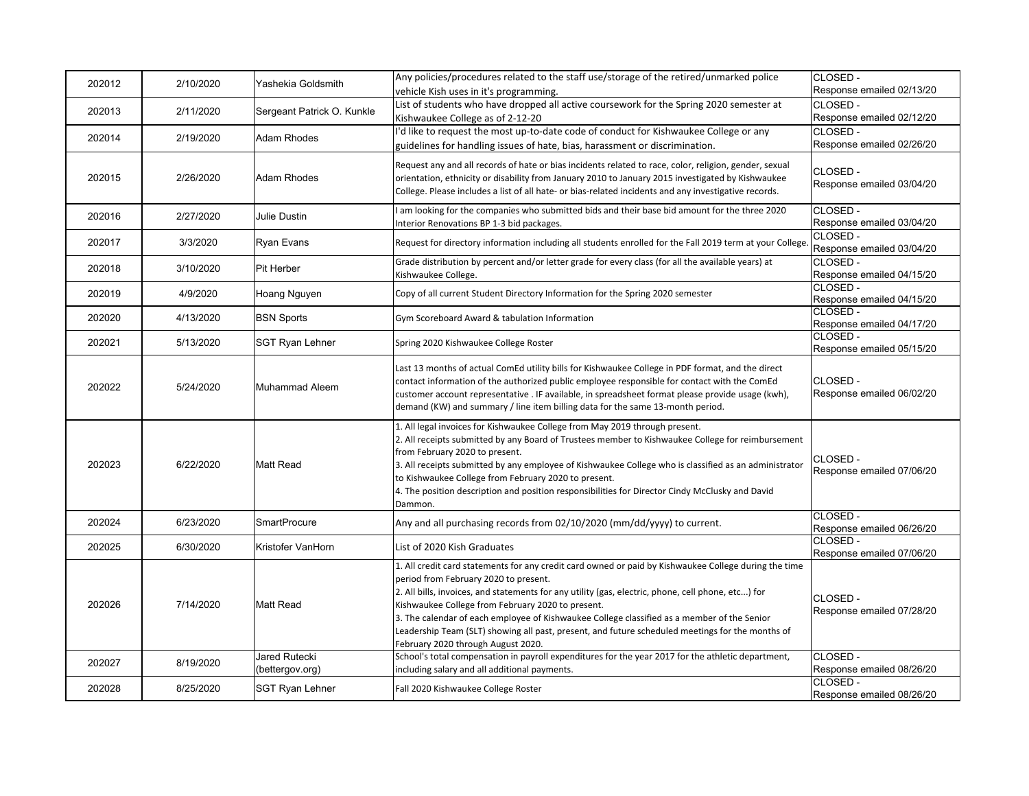| 202012 | 2/10/2020 | Yashekia Goldsmith                      | Any policies/procedures related to the staff use/storage of the retired/unmarked police<br>vehicle Kish uses in it's programming.                                                                                                                                                                                                                                                                                                                                                                                                                  | CLOSED -<br>Response emailed 02/13/20 |
|--------|-----------|-----------------------------------------|----------------------------------------------------------------------------------------------------------------------------------------------------------------------------------------------------------------------------------------------------------------------------------------------------------------------------------------------------------------------------------------------------------------------------------------------------------------------------------------------------------------------------------------------------|---------------------------------------|
| 202013 | 2/11/2020 | Sergeant Patrick O. Kunkle              | List of students who have dropped all active coursework for the Spring 2020 semester at<br>Kishwaukee College as of 2-12-20                                                                                                                                                                                                                                                                                                                                                                                                                        | CLOSED -<br>Response emailed 02/12/20 |
| 202014 | 2/19/2020 | <b>Adam Rhodes</b>                      | I'd like to request the most up-to-date code of conduct for Kishwaukee College or any<br>guidelines for handling issues of hate, bias, harassment or discrimination.                                                                                                                                                                                                                                                                                                                                                                               | CLOSED -<br>Response emailed 02/26/20 |
| 202015 | 2/26/2020 | Adam Rhodes                             | Request any and all records of hate or bias incidents related to race, color, religion, gender, sexual<br>orientation, ethnicity or disability from January 2010 to January 2015 investigated by Kishwaukee<br>College. Please includes a list of all hate- or bias-related incidents and any investigative records.                                                                                                                                                                                                                               | CLOSED -<br>Response emailed 03/04/20 |
| 202016 | 2/27/2020 | Julie Dustin                            | I am looking for the companies who submitted bids and their base bid amount for the three 2020<br>Interior Renovations BP 1-3 bid packages.                                                                                                                                                                                                                                                                                                                                                                                                        | CLOSED -<br>Response emailed 03/04/20 |
| 202017 | 3/3/2020  | Ryan Evans                              | Request for directory information including all students enrolled for the Fall 2019 term at your College.                                                                                                                                                                                                                                                                                                                                                                                                                                          | CLOSED -<br>Response emailed 03/04/20 |
| 202018 | 3/10/2020 | Pit Herber                              | Grade distribution by percent and/or letter grade for every class (for all the available years) at<br>Kishwaukee College.                                                                                                                                                                                                                                                                                                                                                                                                                          | CLOSED -<br>Response emailed 04/15/20 |
| 202019 | 4/9/2020  | Hoang Nguyen                            | Copy of all current Student Directory Information for the Spring 2020 semester                                                                                                                                                                                                                                                                                                                                                                                                                                                                     | CLOSED -<br>Response emailed 04/15/20 |
| 202020 | 4/13/2020 | <b>BSN Sports</b>                       | Gym Scoreboard Award & tabulation Information                                                                                                                                                                                                                                                                                                                                                                                                                                                                                                      | CLOSED -<br>Response emailed 04/17/20 |
| 202021 | 5/13/2020 | <b>SGT Ryan Lehner</b>                  | Spring 2020 Kishwaukee College Roster                                                                                                                                                                                                                                                                                                                                                                                                                                                                                                              | CLOSED -<br>Response emailed 05/15/20 |
| 202022 | 5/24/2020 | Muhammad Aleem                          | Last 13 months of actual ComEd utility bills for Kishwaukee College in PDF format, and the direct<br>contact information of the authorized public employee responsible for contact with the ComEd<br>customer account representative . IF available, in spreadsheet format please provide usage (kwh),<br>demand (KW) and summary / line item billing data for the same 13-month period.                                                                                                                                                           | CLOSED -<br>Response emailed 06/02/20 |
| 202023 | 6/22/2020 | <b>Matt Read</b>                        | 1. All legal invoices for Kishwaukee College from May 2019 through present.<br>2. All receipts submitted by any Board of Trustees member to Kishwaukee College for reimbursement<br>from February 2020 to present.<br>3. All receipts submitted by any employee of Kishwaukee College who is classified as an administrator<br>to Kishwaukee College from February 2020 to present.<br>4. The position description and position responsibilities for Director Cindy McClusky and David<br>Dammon.                                                  | CLOSED -<br>Response emailed 07/06/20 |
| 202024 | 6/23/2020 | <b>SmartProcure</b>                     | Any and all purchasing records from 02/10/2020 (mm/dd/yyyy) to current.                                                                                                                                                                                                                                                                                                                                                                                                                                                                            | CLOSED -<br>Response emailed 06/26/20 |
| 202025 | 6/30/2020 | Kristofer VanHorn                       | List of 2020 Kish Graduates                                                                                                                                                                                                                                                                                                                                                                                                                                                                                                                        | CLOSED-<br>Response emailed 07/06/20  |
| 202026 | 7/14/2020 | <b>Matt Read</b>                        | 1. All credit card statements for any credit card owned or paid by Kishwaukee College during the time<br>period from February 2020 to present.<br>2. All bills, invoices, and statements for any utility (gas, electric, phone, cell phone, etc) for<br>Kishwaukee College from February 2020 to present.<br>3. The calendar of each employee of Kishwaukee College classified as a member of the Senior<br>Leadership Team (SLT) showing all past, present, and future scheduled meetings for the months of<br>February 2020 through August 2020. | CLOSED -<br>Response emailed 07/28/20 |
| 202027 | 8/19/2020 | <b>Jared Rutecki</b><br>(bettergov.org) | School's total compensation in payroll expenditures for the year 2017 for the athletic department,<br>including salary and all additional payments.                                                                                                                                                                                                                                                                                                                                                                                                | CLOSED -<br>Response emailed 08/26/20 |
| 202028 | 8/25/2020 | <b>SGT Ryan Lehner</b>                  | Fall 2020 Kishwaukee College Roster                                                                                                                                                                                                                                                                                                                                                                                                                                                                                                                | CLOSED-<br>Response emailed 08/26/20  |